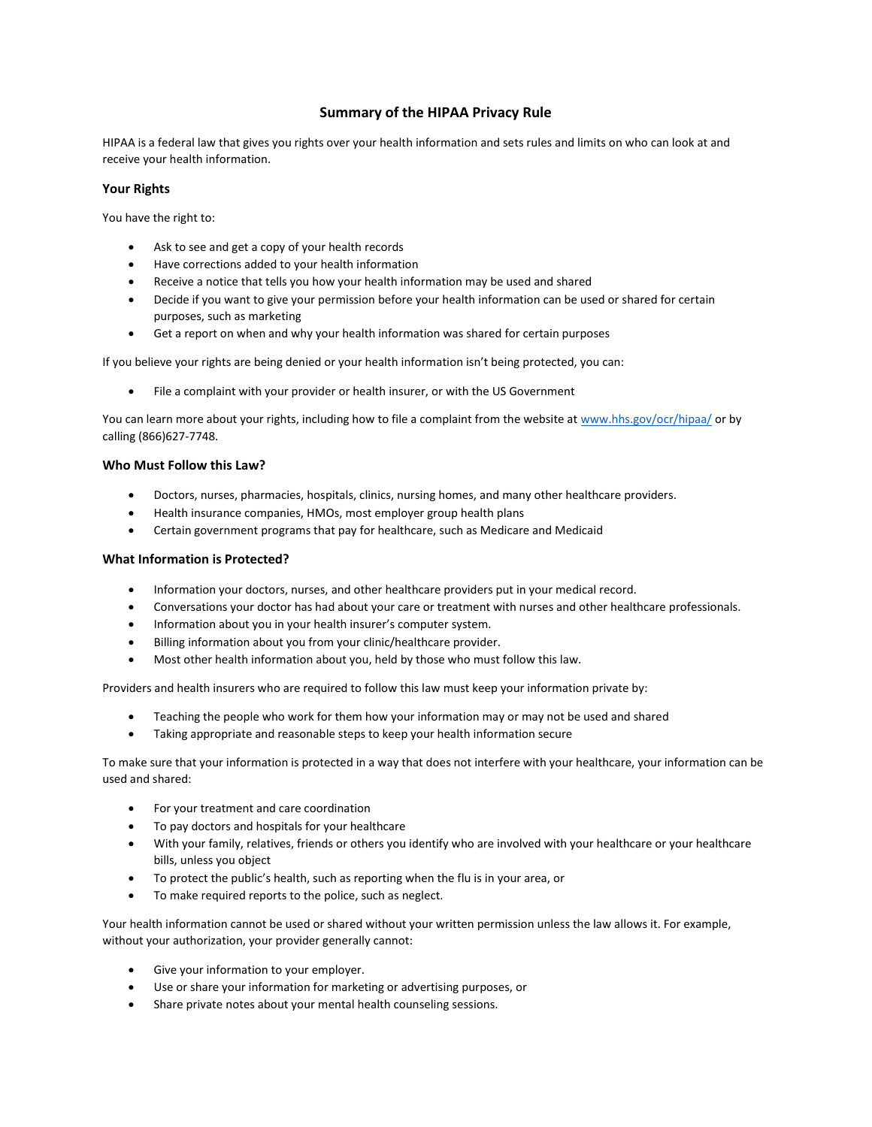# **Summary of the HIPAA Privacy Rule**

HIPAA is a federal law that gives you rights over your health information and sets rules and limits on who can look at and receive your health information.

## **Your Rights**

You have the right to:

- Ask to see and get a copy of your health records
- Have corrections added to your health information
- Receive a notice that tells you how your health information may be used and shared
- Decide if you want to give your permission before your health information can be used or shared for certain purposes, such as marketing
- Get a report on when and why your health information was shared for certain purposes

If you believe your rights are being denied or your health information isn't being protected, you can:

File a complaint with your provider or health insurer, or with the US Government

You can learn more about your rights, including how to file a complaint from the website at [www.hhs.gov/ocr/hipaa/](http://www.hhs.gov/ocr/hipaa/) or by calling (866)627-7748.

#### **Who Must Follow this Law?**

- Doctors, nurses, pharmacies, hospitals, clinics, nursing homes, and many other healthcare providers.
- Health insurance companies, HMOs, most employer group health plans
- Certain government programs that pay for healthcare, such as Medicare and Medicaid

### **What Information is Protected?**

- Information your doctors, nurses, and other healthcare providers put in your medical record.
- Conversations your doctor has had about your care or treatment with nurses and other healthcare professionals.
- Information about you in your health insurer's computer system.
- Billing information about you from your clinic/healthcare provider.
- Most other health information about you, held by those who must follow this law.

Providers and health insurers who are required to follow this law must keep your information private by:

- Teaching the people who work for them how your information may or may not be used and shared
- Taking appropriate and reasonable steps to keep your health information secure

To make sure that your information is protected in a way that does not interfere with your healthcare, your information can be used and shared:

- For your treatment and care coordination
- To pay doctors and hospitals for your healthcare
- With your family, relatives, friends or others you identify who are involved with your healthcare or your healthcare bills, unless you object
- To protect the public's health, such as reporting when the flu is in your area, or
- To make required reports to the police, such as neglect.

Your health information cannot be used or shared without your written permission unless the law allows it. For example, without your authorization, your provider generally cannot:

- Give your information to your employer.
- Use or share your information for marketing or advertising purposes, or
- Share private notes about your mental health counseling sessions.